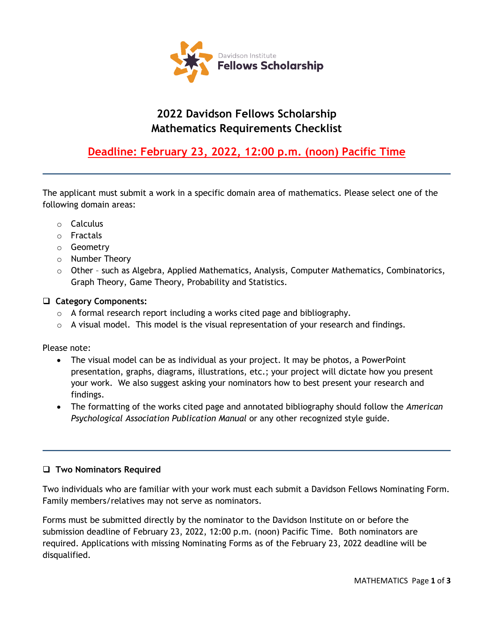

# **2022 Davidson Fellows Scholarship Mathematics Requirements Checklist**

## **Deadline: February 23, 2022, 12:00 p.m. (noon) Pacific Time**

The applicant must submit a work in a specific domain area of mathematics. Please select one of the following domain areas:

- o Calculus
- o Fractals
- o Geometry
- o Number Theory
- $\circ$  Other such as Algebra, Applied Mathematics, Analysis, Computer Mathematics, Combinatorics, Graph Theory, Game Theory, Probability and Statistics.

### **Category Components:**

- o A formal research report including a works cited page and bibliography.
- $\circ$  A visual model. This model is the visual representation of your research and findings.

Please note:

- The visual model can be as individual as your project. It may be photos, a PowerPoint presentation, graphs, diagrams, illustrations, etc.; your project will dictate how you present your work. We also suggest asking your nominators how to best present your research and findings.
- The formatting of the works cited page and annotated bibliography should follow the *American Psychological Association Publication Manual* or any other recognized style guide.

#### **Two Nominators Required**

Two individuals who are familiar with your work must each submit a Davidson Fellows Nominating Form. Family members/relatives may not serve as nominators.

Forms must be submitted directly by the nominator to the Davidson Institute on or before the submission deadline of February 23, 2022, 12:00 p.m. (noon) Pacific Time. Both nominators are required. Applications with missing Nominating Forms as of the February 23, 2022 deadline will be disqualified.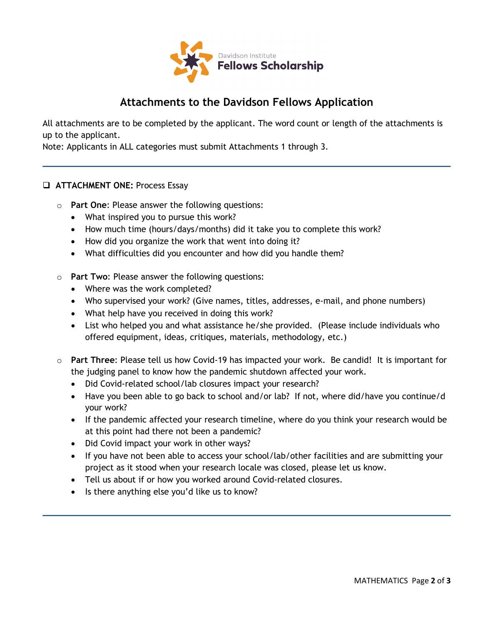

### **Attachments to the Davidson Fellows Application**

All attachments are to be completed by the applicant. The word count or length of the attachments is up to the applicant.

Note: Applicants in ALL categories must submit Attachments 1 through 3.

### **ATTACHMENT ONE:** Process Essay

- o **Part One**: Please answer the following questions:
	- What inspired you to pursue this work?
	- How much time (hours/days/months) did it take you to complete this work?
	- How did you organize the work that went into doing it?
	- What difficulties did you encounter and how did you handle them?
- o **Part Two**: Please answer the following questions:
	- Where was the work completed?
	- Who supervised your work? (Give names, titles, addresses, e-mail, and phone numbers)
	- What help have you received in doing this work?
	- List who helped you and what assistance he/she provided. (Please include individuals who offered equipment, ideas, critiques, materials, methodology, etc.)
- o **Part Three**: Please tell us how Covid-19 has impacted your work. Be candid! It is important for the judging panel to know how the pandemic shutdown affected your work.
	- Did Covid-related school/lab closures impact your research?
	- Have you been able to go back to school and/or lab? If not, where did/have you continue/d your work?
	- If the pandemic affected your research timeline, where do you think your research would be at this point had there not been a pandemic?
	- Did Covid impact your work in other ways?
	- If you have not been able to access your school/lab/other facilities and are submitting your project as it stood when your research locale was closed, please let us know.
	- Tell us about if or how you worked around Covid-related closures.
	- Is there anything else you'd like us to know?